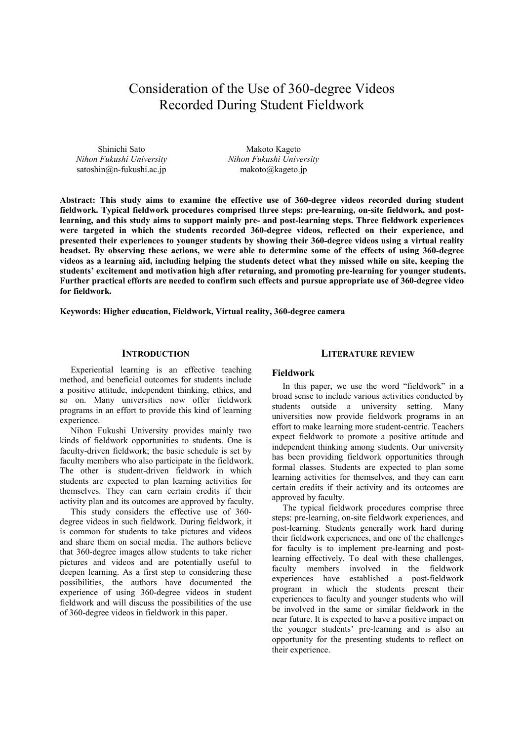# Consideration of the Use of 360-degree Videos Recorded During Student Fieldwork

Shinichi Sato *Nihon Fukushi University* satoshin@n-fukushi.ac.jp

Makoto Kageto *Nihon Fukushi University* makoto@kageto.jp

**Abstract: This study aims to examine the effective use of 360-degree videos recorded during student fieldwork. Typical fieldwork procedures comprised three steps: pre-learning, on-site fieldwork, and postlearning, and this study aims to support mainly pre- and post-learning steps. Three fieldwork experiences were targeted in which the students recorded 360-degree videos, reflected on their experience, and presented their experiences to younger students by showing their 360-degree videos using a virtual reality headset. By observing these actions, we were able to determine some of the effects of using 360-degree videos as a learning aid, including helping the students detect what they missed while on site, keeping the students' excitement and motivation high after returning, and promoting pre-learning for younger students. Further practical efforts are needed to confirm such effects and pursue appropriate use of 360-degree video for fieldwork.** 

**Keywords: Higher education, Fieldwork, Virtual reality, 360-degree camera**

# **INTRODUCTION**

Experiential learning is an effective teaching method, and beneficial outcomes for students include a positive attitude, independent thinking, ethics, and so on. Many universities now offer fieldwork programs in an effort to provide this kind of learning experience.

Nihon Fukushi University provides mainly two kinds of fieldwork opportunities to students. One is faculty-driven fieldwork; the basic schedule is set by faculty members who also participate in the fieldwork. The other is student-driven fieldwork in which students are expected to plan learning activities for themselves. They can earn certain credits if their activity plan and its outcomes are approved by faculty.

This study considers the effective use of 360 degree videos in such fieldwork. During fieldwork, it is common for students to take pictures and videos and share them on social media. The authors believe that 360-degree images allow students to take richer pictures and videos and are potentially useful to deepen learning. As a first step to considering these possibilities, the authors have documented the experience of using 360-degree videos in student fieldwork and will discuss the possibilities of the use of 360-degree videos in fieldwork in this paper.

### **LITERATURE REVIEW**

### **Fieldwork**

In this paper, we use the word "fieldwork" in a broad sense to include various activities conducted by students outside a university setting. Many universities now provide fieldwork programs in an effort to make learning more student-centric. Teachers expect fieldwork to promote a positive attitude and independent thinking among students. Our university has been providing fieldwork opportunities through formal classes. Students are expected to plan some learning activities for themselves, and they can earn certain credits if their activity and its outcomes are approved by faculty.

The typical fieldwork procedures comprise three steps: pre-learning, on-site fieldwork experiences, and post-learning. Students generally work hard during their fieldwork experiences, and one of the challenges for faculty is to implement pre-learning and postlearning effectively. To deal with these challenges, faculty members involved in the fieldwork experiences have established a post-fieldwork program in which the students present their experiences to faculty and younger students who will be involved in the same or similar fieldwork in the near future. It is expected to have a positive impact on the younger students' pre-learning and is also an opportunity for the presenting students to reflect on their experience.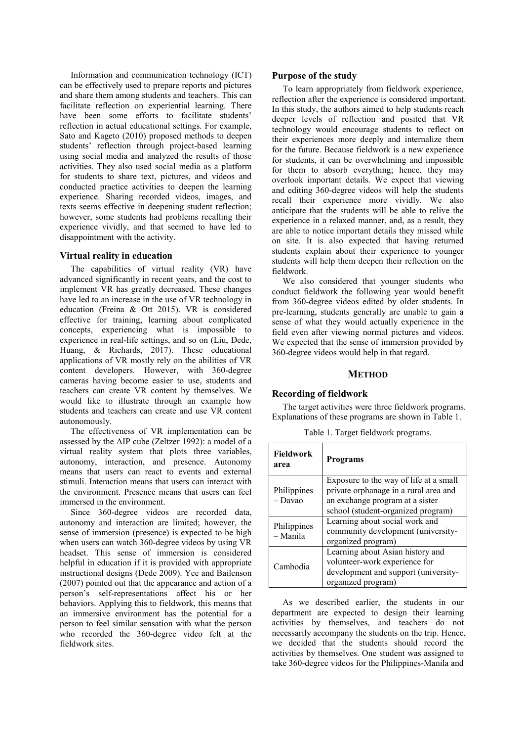Information and communication technology (ICT) can be effectively used to prepare reports and pictures and share them among students and teachers. This can facilitate reflection on experiential learning. There have been some efforts to facilitate students' reflection in actual educational settings. For example, Sato and Kageto (2010) proposed methods to deepen students' reflection through project-based learning using social media and analyzed the results of those activities. They also used social media as a platform for students to share text, pictures, and videos and conducted practice activities to deepen the learning experience. Sharing recorded videos, images, and texts seems effective in deepening student reflection; however, some students had problems recalling their experience vividly, and that seemed to have led to disappointment with the activity.

# **Virtual reality in education**

The capabilities of virtual reality (VR) have advanced significantly in recent years, and the cost to implement VR has greatly decreased. These changes have led to an increase in the use of VR technology in education (Freina & Ott 2015). VR is considered effective for training, learning about complicated concepts, experiencing what is impossible to experience in real-life settings, and so on (Liu, Dede, Huang, & Richards, 2017). These educational applications of VR mostly rely on the abilities of VR content developers. However, with 360-degree cameras having become easier to use, students and teachers can create VR content by themselves. We would like to illustrate through an example how students and teachers can create and use VR content autonomously.

The effectiveness of VR implementation can be assessed by the AIP cube (Zeltzer 1992): a model of a virtual reality system that plots three variables, autonomy, interaction, and presence. Autonomy means that users can react to events and external stimuli. Interaction means that users can interact with the environment. Presence means that users can feel immersed in the environment.

Since 360-degree videos are recorded data, autonomy and interaction are limited; however, the sense of immersion (presence) is expected to be high when users can watch 360-degree videos by using VR headset. This sense of immersion is considered helpful in education if it is provided with appropriate instructional designs (Dede 2009). Yee and Bailenson (2007) pointed out that the appearance and action of a person's self-representations affect his or her behaviors. Applying this to fieldwork, this means that an immersive environment has the potential for a person to feel similar sensation with what the person who recorded the 360-degree video felt at the fieldwork sites.

### **Purpose of the study**

To learn appropriately from fieldwork experience, reflection after the experience is considered important. In this study, the authors aimed to help students reach deeper levels of reflection and posited that VR technology would encourage students to reflect on their experiences more deeply and internalize them for the future. Because fieldwork is a new experience for students, it can be overwhelming and impossible for them to absorb everything; hence, they may overlook important details. We expect that viewing and editing 360-degree videos will help the students recall their experience more vividly. We also anticipate that the students will be able to relive the experience in a relaxed manner, and, as a result, they are able to notice important details they missed while on site. It is also expected that having returned students explain about their experience to younger students will help them deepen their reflection on the fieldwork.

We also considered that younger students who conduct fieldwork the following year would benefit from 360-degree videos edited by older students. In pre-learning, students generally are unable to gain a sense of what they would actually experience in the field even after viewing normal pictures and videos. We expected that the sense of immersion provided by 360-degree videos would help in that regard.

## **METHOD**

#### **Recording of fieldwork**

The target activities were three fieldwork programs. Explanations of these programs are shown in Table 1.

Table 1. Target fieldwork programs.

| <b>Fieldwork</b><br>area | <b>Programs</b>                                                                                                                                          |
|--------------------------|----------------------------------------------------------------------------------------------------------------------------------------------------------|
| Philippines<br>– Davao   | Exposure to the way of life at a small<br>private orphanage in a rural area and<br>an exchange program at a sister<br>school (student-organized program) |
| Philippines<br>– Manila  | Learning about social work and<br>community development (university-<br>organized program)                                                               |
| Cambodia                 | Learning about Asian history and<br>volunteer-work experience for<br>development and support (university-<br>organized program)                          |

As we described earlier, the students in our department are expected to design their learning activities by themselves, and teachers do not necessarily accompany the students on the trip. Hence, we decided that the students should record the activities by themselves. One student was assigned to take 360-degree videos for the Philippines-Manila and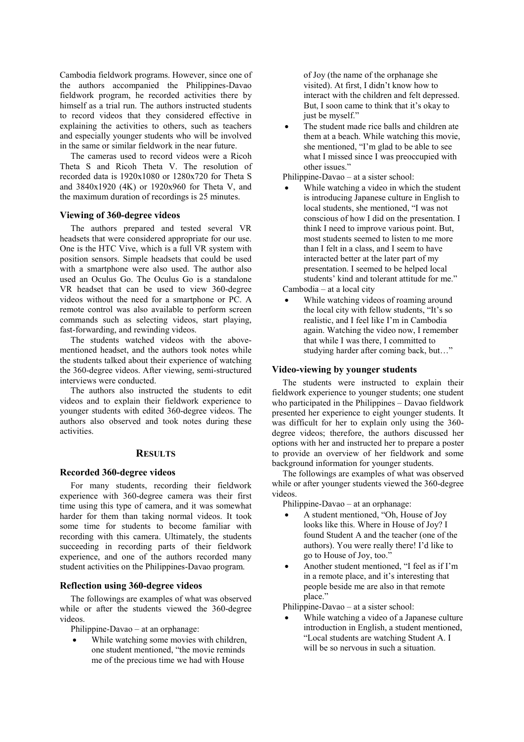Cambodia fieldwork programs. However, since one of the authors accompanied the Philippines-Davao fieldwork program, he recorded activities there by himself as a trial run. The authors instructed students to record videos that they considered effective in explaining the activities to others, such as teachers and especially younger students who will be involved in the same or similar fieldwork in the near future.

The cameras used to record videos were a Ricoh Theta S and Ricoh Theta V. The resolution of recorded data is 1920x1080 or 1280x720 for Theta S and 3840x1920 (4K) or 1920x960 for Theta V, and the maximum duration of recordings is 25 minutes.

# **Viewing of 360-degree videos**

The authors prepared and tested several VR headsets that were considered appropriate for our use. One is the HTC Vive, which is a full VR system with position sensors. Simple headsets that could be used with a smartphone were also used. The author also used an Oculus Go. The Oculus Go is a standalone VR headset that can be used to view 360-degree videos without the need for a smartphone or PC. A remote control was also available to perform screen commands such as selecting videos, start playing, fast-forwarding, and rewinding videos.

The students watched videos with the abovementioned headset, and the authors took notes while the students talked about their experience of watching the 360-degree videos. After viewing, semi-structured interviews were conducted.

The authors also instructed the students to edit videos and to explain their fieldwork experience to younger students with edited 360-degree videos. The authors also observed and took notes during these activities.

# **RESULTS**

# **Recorded 360-degree videos**

For many students, recording their fieldwork experience with 360-degree camera was their first time using this type of camera, and it was somewhat harder for them than taking normal videos. It took some time for students to become familiar with recording with this camera. Ultimately, the students succeeding in recording parts of their fieldwork experience, and one of the authors recorded many student activities on the Philippines-Davao program.

# **Reflection using 360-degree videos**

The followings are examples of what was observed while or after the students viewed the 360-degree videos.

Philippine-Davao – at an orphanage:

 While watching some movies with children, one student mentioned, "the movie reminds me of the precious time we had with House

of Joy (the name of the orphanage she visited). At first, I didn't know how to interact with the children and felt depressed. But, I soon came to think that it's okay to just be myself."

 The student made rice balls and children ate them at a beach. While watching this movie, she mentioned, "I'm glad to be able to see what I missed since I was preoccupied with other issues."

Philippine-Davao – at a sister school:

 While watching a video in which the student is introducing Japanese culture in English to local students, she mentioned, "I was not conscious of how I did on the presentation. I think I need to improve various point. But, most students seemed to listen to me more than I felt in a class, and I seem to have interacted better at the later part of my presentation. I seemed to be helped local students' kind and tolerant attitude for me."

Cambodia – at a local city

 While watching videos of roaming around the local city with fellow students, "It's so realistic, and I feel like I'm in Cambodia again. Watching the video now, I remember that while I was there, I committed to studying harder after coming back, but…"

### **Video-viewing by younger students**

The students were instructed to explain their fieldwork experience to younger students; one student who participated in the Philippines – Davao fieldwork presented her experience to eight younger students. It was difficult for her to explain only using the 360 degree videos; therefore, the authors discussed her options with her and instructed her to prepare a poster to provide an overview of her fieldwork and some background information for younger students.

The followings are examples of what was observed while or after younger students viewed the 360-degree videos.

Philippine-Davao – at an orphanage:

- A student mentioned, "Oh, House of Joy looks like this. Where in House of Joy? I found Student A and the teacher (one of the authors). You were really there! I'd like to go to House of Joy, too."
- Another student mentioned, "I feel as if I'm in a remote place, and it's interesting that people beside me are also in that remote place."

Philippine-Davao – at a sister school:

 While watching a video of a Japanese culture introduction in English, a student mentioned, "Local students are watching Student A. I will be so nervous in such a situation.